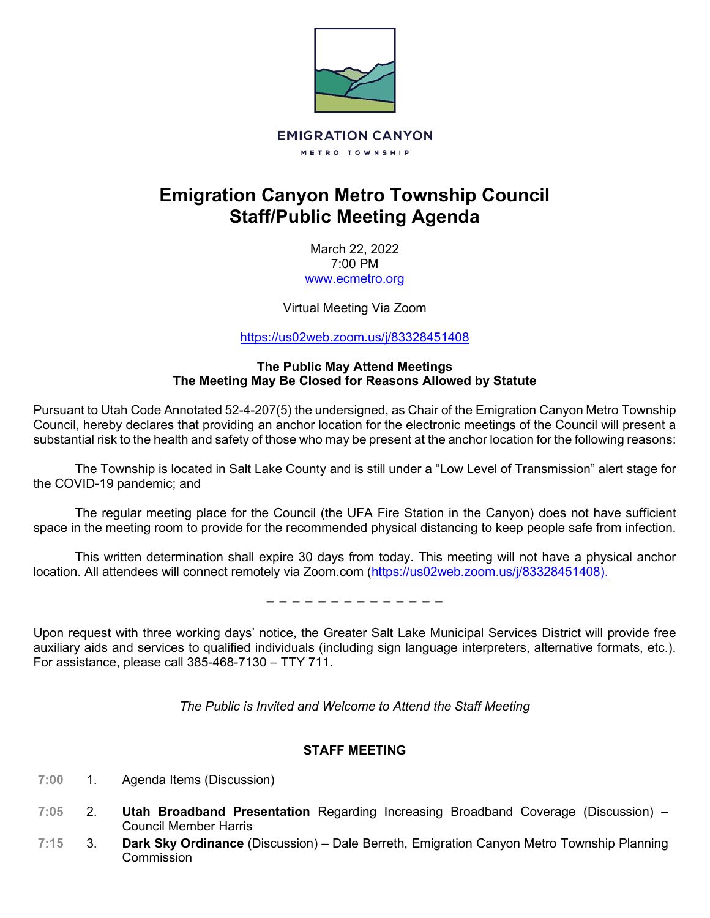

# **Emigration Canyon Metro Township Council Staff/Public Meeting Agenda**

March 22, 2022 7:00 PM [www.ecmetro.org](http://www.ecmetro.org/)

Virtual Meeting Via Zoom

<https://us02web.zoom.us/j/83328451408>

## **The Public May Attend Meetings The Meeting May Be Closed for Reasons Allowed by Statute**

Pursuant to Utah Code Annotated 52-4-207(5) the undersigned, as Chair of the Emigration Canyon Metro Township Council, hereby declares that providing an anchor location for the electronic meetings of the Council will present a substantial risk to the health and safety of those who may be present at the anchor location for the following reasons:

The Township is located in Salt Lake County and is still under a "Low Level of Transmission" alert stage for the COVID-19 pandemic; and

The regular meeting place for the Council (the UFA Fire Station in the Canyon) does not have sufficient space in the meeting room to provide for the recommended physical distancing to keep people safe from infection.

This written determination shall expire 30 days from today. This meeting will not have a physical anchor location. All attendees will connect remotely via Zoom.com [\(https://us02web.zoom.us/j/83328451408\)](https://us02web.zoom.us/j/83328451408).

− − − − − − − − − − − − − −

Upon request with three working days' notice, the Greater Salt Lake Municipal Services District will provide free auxiliary aids and services to qualified individuals (including sign language interpreters, alternative formats, etc.). For assistance, please call 385-468-7130 – TTY 711.

*The Public is Invited and Welcome to Attend the Staff Meeting*

# **STAFF MEETING**

- $7:00$ 1. Agenda Items (Discussion)
- $7:05$ 2. **Utah Broadband Presentation** Regarding Increasing Broadband Coverage (Discussion) – Council Member Harris
- $7:15$ 3. **Dark Sky Ordinance** (Discussion) – Dale Berreth, Emigration Canyon Metro Township Planning **Commission**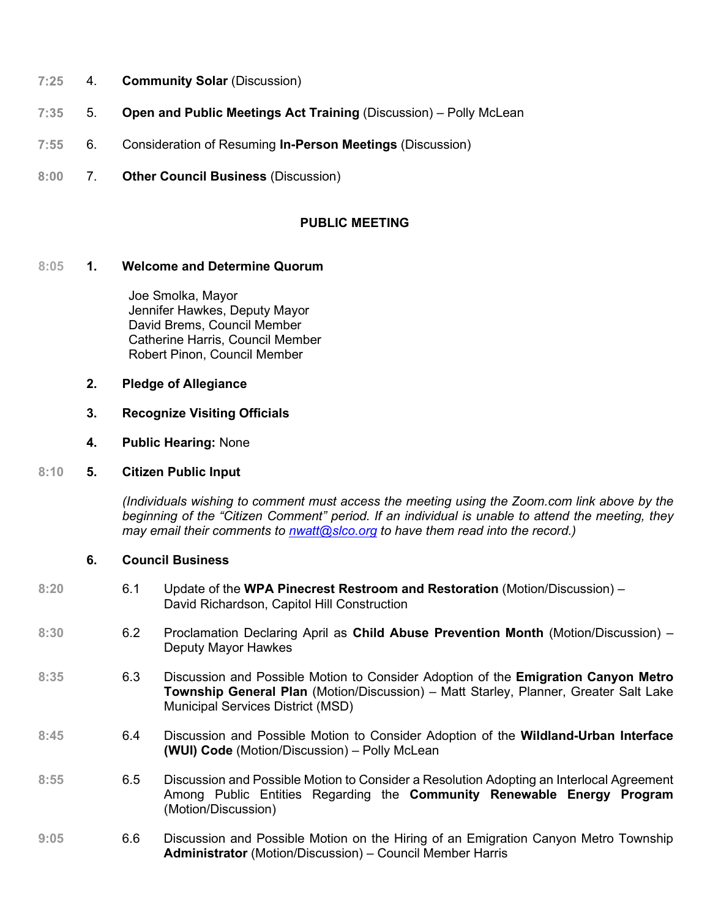- $7:25$ 4. **Community Solar** (Discussion)
- $7:35$ 5. **Open and Public Meetings Act Training** (Discussion) – Polly McLean
- $7:55$ 6. Consideration of Resuming **In-Person Meetings** (Discussion)
- $8:00$ 7. **Other Council Business** (Discussion)

## **PUBLIC MEETING**

### **8:05 1. Welcome and Determine Quorum**

 Joe Smolka, Mayor Jennifer Hawkes, Deputy Mayor David Brems, Council Member Catherine Harris, Council Member Robert Pinon, Council Member

- **2. Pledge of Allegiance**
- **3. Recognize Visiting Officials**
- **4. Public Hearing:** None

## **8:10 5. Citizen Public Input**

*(Individuals wishing to comment must access the meeting using the Zoom.com link above by the beginning of the "Citizen Comment" period. If an individual is unable to attend the meeting, they may email their comments to [nwatt@slco.org](mailto:nwatt@slco.org) to have them read into the record.)*

#### **6. Council Business**

- **8:20** 6.1 Update of the **WPA Pinecrest Restroom and Restoration** (Motion/Discussion) David Richardson, Capitol Hill Construction
- **8:30** 6.2 Proclamation Declaring April as **Child Abuse Prevention Month** (Motion/Discussion) Deputy Mayor Hawkes
- **8:35** 6.3 Discussion and Possible Motion to Consider Adoption of the **Emigration Canyon Metro Township General Plan** (Motion/Discussion) – Matt Starley, Planner, Greater Salt Lake Municipal Services District (MSD)
- **8:45** 6.4 Discussion and Possible Motion to Consider Adoption of the **Wildland-Urban Interface (WUI) Code** (Motion/Discussion) – Polly McLean
- **8:55** 6.5 Discussion and Possible Motion to Consider a Resolution Adopting an Interlocal Agreement Among Public Entities Regarding the **Community Renewable Energy Program** (Motion/Discussion)
- **9:05** 6.6 Discussion and Possible Motion on the Hiring of an Emigration Canyon Metro Township **Administrator** (Motion/Discussion) – Council Member Harris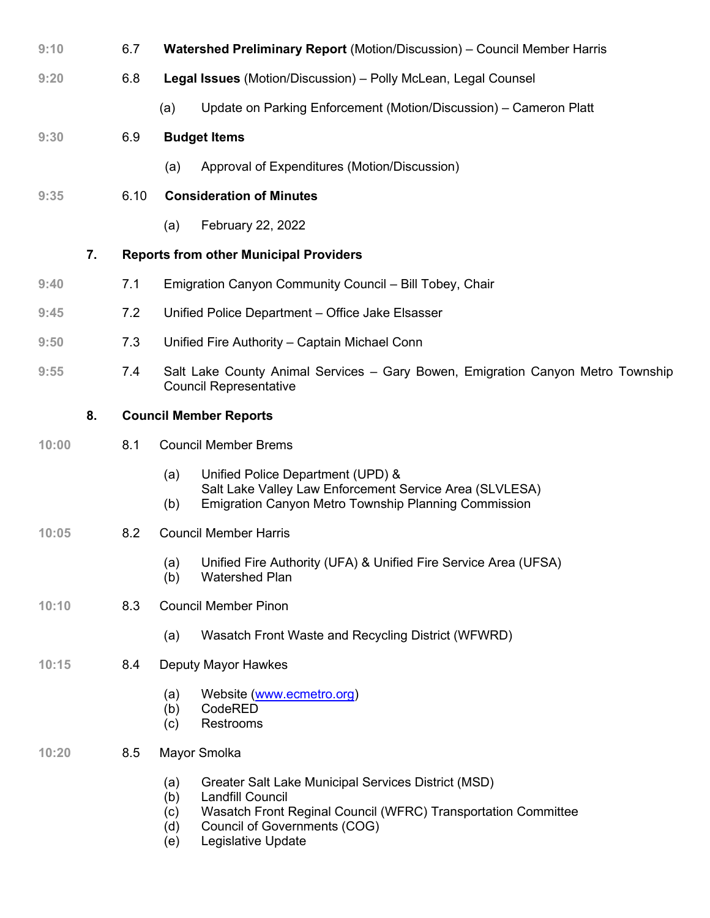| 9:10  |    | 6.7  | Watershed Preliminary Report (Motion/Discussion) - Council Member Harris                                                                                                                                                                        |
|-------|----|------|-------------------------------------------------------------------------------------------------------------------------------------------------------------------------------------------------------------------------------------------------|
| 9:20  |    | 6.8  | Legal Issues (Motion/Discussion) - Polly McLean, Legal Counsel                                                                                                                                                                                  |
|       |    |      | Update on Parking Enforcement (Motion/Discussion) – Cameron Platt<br>(a)                                                                                                                                                                        |
| 9:30  |    | 6.9  | <b>Budget Items</b>                                                                                                                                                                                                                             |
|       |    |      | Approval of Expenditures (Motion/Discussion)<br>(a)                                                                                                                                                                                             |
| 9:35  |    | 6.10 | <b>Consideration of Minutes</b>                                                                                                                                                                                                                 |
|       |    |      | February 22, 2022<br>(a)                                                                                                                                                                                                                        |
|       | 7. |      | <b>Reports from other Municipal Providers</b>                                                                                                                                                                                                   |
| 9:40  |    | 7.1  | Emigration Canyon Community Council - Bill Tobey, Chair                                                                                                                                                                                         |
| 9:45  |    | 7.2  | Unified Police Department - Office Jake Elsasser                                                                                                                                                                                                |
| 9:50  |    | 7.3  | Unified Fire Authority - Captain Michael Conn                                                                                                                                                                                                   |
| 9:55  |    | 7.4  | Salt Lake County Animal Services - Gary Bowen, Emigration Canyon Metro Township<br><b>Council Representative</b>                                                                                                                                |
|       | 8. |      | <b>Council Member Reports</b>                                                                                                                                                                                                                   |
| 10:00 |    | 8.1  | <b>Council Member Brems</b>                                                                                                                                                                                                                     |
|       |    |      | Unified Police Department (UPD) &<br>(a)<br>Salt Lake Valley Law Enforcement Service Area (SLVLESA)<br><b>Emigration Canyon Metro Township Planning Commission</b><br>(b)                                                                       |
| 10:05 |    | 8.2  | <b>Council Member Harris</b>                                                                                                                                                                                                                    |
|       |    |      | Unified Fire Authority (UFA) & Unified Fire Service Area (UFSA)<br>(a)<br><b>Watershed Plan</b><br>(b)                                                                                                                                          |
| 10:10 |    | 8.3  | <b>Council Member Pinon</b>                                                                                                                                                                                                                     |
|       |    |      | Wasatch Front Waste and Recycling District (WFWRD)<br>(a)                                                                                                                                                                                       |
| 10:15 |    | 8.4  | Deputy Mayor Hawkes                                                                                                                                                                                                                             |
|       |    |      | Website (www.ecmetro.org)<br>(a)<br>CodeRED<br>(b)<br><b>Restrooms</b><br>(c)                                                                                                                                                                   |
| 10:20 |    | 8.5  | Mayor Smolka                                                                                                                                                                                                                                    |
|       |    |      | Greater Salt Lake Municipal Services District (MSD)<br>(a)<br><b>Landfill Council</b><br>(b)<br>Wasatch Front Reginal Council (WFRC) Transportation Committee<br>(c)<br><b>Council of Governments (COG)</b><br>(d)<br>Legislative Update<br>(e) |